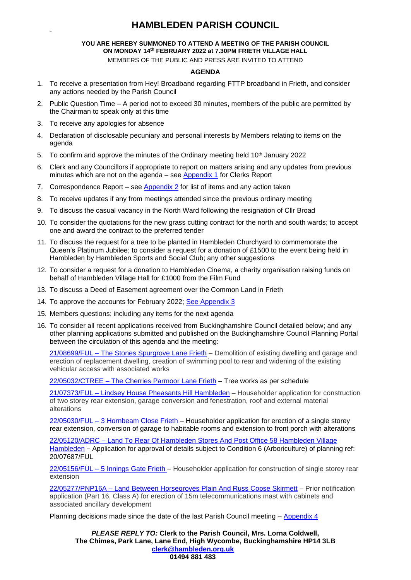# **HAMBLEDEN PARISH COUNCIL**

#### **YOU ARE HEREBY SUMMONED TO ATTEND A MEETING OF THE PARISH COUNCIL ON MONDAY 14 th FEBRUARY 2022 at 7.30PM FRIETH VILLAGE HALL**

MEMBERS OF THE PUBLIC AND PRESS ARE INVITED TO ATTEND

#### **AGENDA**

- 1. To receive a presentation from Hey! Broadband regarding FTTP broadband in Frieth, and consider any actions needed by the Parish Council
- 2. Public Question Time A period not to exceed 30 minutes, members of the public are permitted by the Chairman to speak only at this time
- 3. To receive any apologies for absence
- 4. Declaration of disclosable pecuniary and personal interests by Members relating to items on the agenda
- 5. To confirm and approve the minutes of the Ordinary meeting held  $10<sup>th</sup>$  January 2022
- 6. Clerk and any Councillors if appropriate to report on matters arising and any updates from previous minutes which are not on the agenda – see [Appendix 1](#page-1-0) for Clerks Report
- 7. Correspondence Report see [Appendix 2](#page-1-1) for list of items and any action taken
- 8. To receive updates if any from meetings attended since the previous ordinary meeting
- 9. To discuss the casual vacancy in the North Ward following the resignation of Cllr Broad
- 10. To consider the quotations for the new grass cutting contract for the north and south wards; to accept one and award the contract to the preferred tender
- 11. To discuss the request for a tree to be planted in Hambleden Churchyard to commemorate the Queen's Platinum Jubilee; to consider a request for a donation of £1500 to the event being held in Hambleden by Hambleden Sports and Social Club; any other suggestions
- 12. To consider a request for a donation to Hambleden Cinema, a charity organisation raising funds on behalf of Hambleden Village Hall for £1000 from the Film Fund
- 13. To discuss a Deed of Easement agreement over the Common Land in Frieth
- 14. To approve the accounts for February 2022; [See Appendix 3](#page-2-0)
- 15. Members questions: including any items for the next agenda
- 16. To consider all recent applications received from Buckinghamshire Council detailed below; and any other planning applications submitted and published on the Buckinghamshire Council Planning Portal between the circulation of this agenda and the meeting:

21/08699/FUL – [The Stones Spurgrove Lane Frieth](https://publicaccess.wycombe.gov.uk/idoxpa-web/applicationDetails.do?activeTab=documents&keyVal=R4ASSLSCLXH00) – Demolition of existing dwelling and garage and erection of replacement dwelling, creation of swimming pool to rear and widening of the existing vehicular access with associated works

22/05032/CTREE – [The Cherries Parmoor Lane Frieth](https://publicaccess.wycombe.gov.uk/idoxpa-web/applicationDetails.do?activeTab=documents&keyVal=R5BU54SCM9U00) – Tree works as per schedule

21/07373/FUL – [Lindsey House Pheasants Hill Hambleden](https://publicaccess.wycombe.gov.uk/idoxpa-web/applicationDetails.do?activeTab=documents&keyVal=QXCPYESCHYW00) – Householder application for construction of two storey rear extension, garage conversion and fenestration, roof and external material alterations

22/05030/FUL – [3 Hornbeam Close Frieth](https://publicaccess.wycombe.gov.uk/idoxpa-web/applicationDetails.do?activeTab=documents&keyVal=R5BU4QSCM9Q00) – Householder application for erection of a single storey rear extension, conversion of garage to habitable rooms and extension to front porch with alterations

22/05120/ADRC – [Land To Rear Of Hambleden Stores And Post Office 58 Hambleden Village](https://publicaccess.wycombe.gov.uk/idoxpa-web/applicationDetails.do?activeTab=documents&keyVal=R5W7FUSCMJ700)  [Hambleden](https://publicaccess.wycombe.gov.uk/idoxpa-web/applicationDetails.do?activeTab=documents&keyVal=R5W7FUSCMJ700) – Application for approval of details subject to Condition 6 (Arboriculture) of planning ref: 20/07687/FUL

22/05156/FUL – [5 Innings Gate Frieth](https://publicaccess.wycombe.gov.uk/idoxpa-web/applicationDetails.do?activeTab=documents&keyVal=R61RGZSCMM300) – Householder application for construction of single storey rear extension

22/05277/PNP16A – [Land Between Horsegroves Plain And Russ Copse Skirmett](https://publicaccess.wycombe.gov.uk/idoxpa-web/applicationDetails.do?activeTab=documents&keyVal=R6PU70SCMYG00) – Prior notification application (Part 16, Class A) for erection of 15m telecommunications mast with cabinets and associated ancillary development

Planning decisions made since the date of the last Parish Council meeting – [Appendix 4](#page-2-1)

*PLEASE REPLY TO:* **Clerk to the Parish Council, Mrs. Lorna Coldwell, The Chimes, Park Lane, Lane End, High Wycombe, Buckinghamshire HP14 3LB [clerk@hambleden.org.uk](mailto:clerk@hambleden.org.uk) 01494 881 483**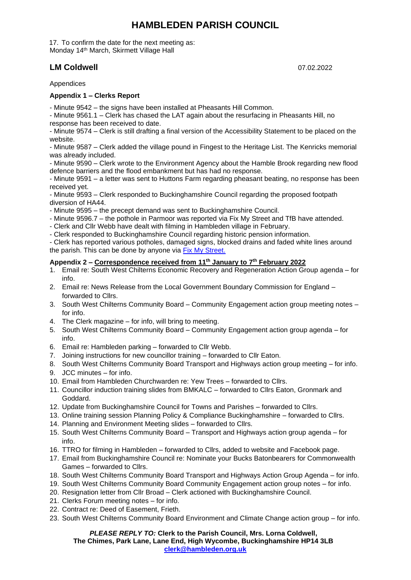# **HAMBLEDEN PARISH COUNCIL**

17. To confirm the date for the next meeting as: Monday 14th March, Skirmett Village Hall

# **LM Coldwell** 07.02.2022

Appendices

#### <span id="page-1-0"></span>**Appendix 1 – Clerks Report**

- Minute 9542 – the signs have been installed at Pheasants Hill Common.

- Minute 9561.1 – Clerk has chased the LAT again about the resurfacing in Pheasants Hill, no response has been received to date.

- Minute 9574 – Clerk is still drafting a final version of the Accessibility Statement to be placed on the website.

- Minute 9587 – Clerk added the village pound in Fingest to the Heritage List. The Kenricks memorial was already included.

- Minute 9590 – Clerk wrote to the Environment Agency about the Hamble Brook regarding new flood defence barriers and the flood embankment but has had no response.

- Minute 9591 – a letter was sent to Huttons Farm regarding pheasant beating, no response has been received yet.

- Minute 9593 – Clerk responded to Buckinghamshire Council regarding the proposed footpath diversion of HA44.

- Minute 9595 – the precept demand was sent to Buckinghamshire Council.

- Minute 9596.7 the pothole in Parmoor was reported via Fix My Street and TfB have attended.
- Clerk and Cllr Webb have dealt with filming in Hambleden village in February.
- Clerk responded to Buckinghamshire Council regarding historic pension information.

- Clerk has reported various potholes, damaged signs, blocked drains and faded white lines around the parish. This can be done by anyone via [Fix My Street.](https://www.fixmystreet.com/)

#### <span id="page-1-1"></span>**Appendix 2 – Correspondence received from 11th January to 7th February 2022**

- 1. Email re: South West Chilterns Economic Recovery and Regeneration Action Group agenda for info.
- 2. Email re: News Release from the Local Government Boundary Commission for England forwarded to Cllrs.
- 3. South West Chilterns Community Board Community Engagement action group meeting notes for info.
- 4. The Clerk magazine for info, will bring to meeting.
- 5. South West Chilterns Community Board Community Engagement action group agenda for info.
- 6. Email re: Hambleden parking forwarded to Cllr Webb.
- 7. Joining instructions for new councillor training forwarded to Cllr Eaton.
- 8. South West Chilterns Community Board Transport and Highways action group meeting for info.
- 9. JCC minutes for info.
- 10. Email from Hambleden Churchwarden re: Yew Trees forwarded to Cllrs.
- 11. Councillor induction training slides from BMKALC forwarded to Cllrs Eaton, Gronmark and Goddard.
- 12. Update from Buckinghamshire Council for Towns and Parishes forwarded to Cllrs.
- 13. Online training session Planning Policy & Compliance Buckinghamshire forwarded to Cllrs.
- 14. Planning and Environment Meeting slides forwarded to Cllrs.
- 15. South West Chilterns Community Board Transport and Highways action group agenda for info.
- 16. TTRO for filming in Hambleden forwarded to Cllrs, added to website and Facebook page.
- 17. Email from Buckinghamshire Council re: Nominate your Bucks Batonbearers for Commonwealth Games – forwarded to Cllrs.
- 18. South West Chilterns Community Board Transport and Highways Action Group Agenda for info.
- 19. South West Chilterns Community Board Community Engagement action group notes for info.
- 20. Resignation letter from Cllr Broad Clerk actioned with Buckinghamshire Council.
- 21. Clerks Forum meeting notes for info.
- 22. Contract re: Deed of Easement, Frieth.
- 23. South West Chilterns Community Board Environment and Climate Change action group for info.

#### *PLEASE REPLY TO:* **Clerk to the Parish Council, Mrs. Lorna Coldwell, The Chimes, Park Lane, Lane End, High Wycombe, Buckinghamshire HP14 3LB [clerk@hambleden.org.uk](mailto:clerk@hambleden.org.uk)**